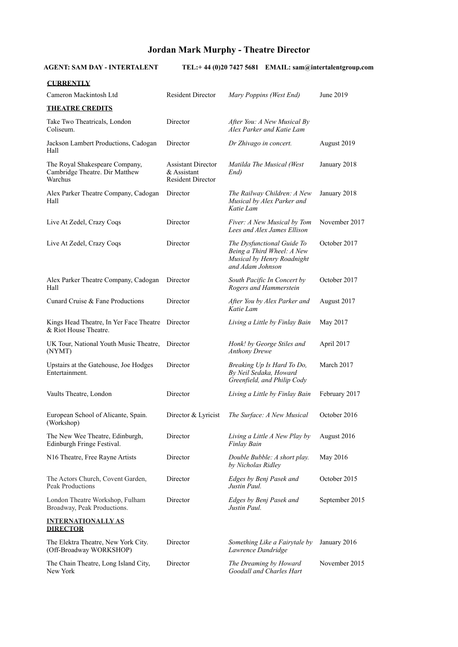## **Jordan Mark Murphy - Theatre Director**

**AGENT: SAM DAY - INTERTALENT TEL:+ 44 (0)20 7427 5681 EMAIL: sam@intertalentgroup.com** 

| <b>CURRENTLY</b>                                                            |                                                                      |                                                                                                            |                |
|-----------------------------------------------------------------------------|----------------------------------------------------------------------|------------------------------------------------------------------------------------------------------------|----------------|
| Cameron Mackintosh Ltd                                                      | <b>Resident Director</b>                                             | Mary Poppins (West End)                                                                                    | June 2019      |
| <b>THEATRE CREDITS</b>                                                      |                                                                      |                                                                                                            |                |
| Take Two Theatricals, London<br>Coliseum.                                   | Director                                                             | After You: A New Musical By<br>Alex Parker and Katie Lam                                                   |                |
| Jackson Lambert Productions, Cadogan<br>Hall                                | Director                                                             | Dr Zhivago in concert.                                                                                     | August 2019    |
| The Royal Shakespeare Company,<br>Cambridge Theatre. Dir Matthew<br>Warchus | <b>Assistant Director</b><br>& Assistant<br><b>Resident Director</b> | Matilda The Musical (West<br>End)                                                                          | January 2018   |
| Alex Parker Theatre Company, Cadogan<br>Hall                                | Director                                                             | The Railway Children: A New<br>Musical by Alex Parker and<br>Katie Lam                                     | January 2018   |
| Live At Zedel, Crazy Coqs                                                   | Director                                                             | Fiver: A New Musical by Tom<br>Lees and Alex James Ellison                                                 | November 2017  |
| Live At Zedel, Crazy Coqs                                                   | Director                                                             | The Dysfunctional Guide To<br>Being a Third Wheel: A New<br>Musical by Henry Roadnight<br>and Adam Johnson | October 2017   |
| Alex Parker Theatre Company, Cadogan<br>Hall                                | Director                                                             | South Pacific In Concert by<br>Rogers and Hammerstein                                                      | October 2017   |
| Cunard Cruise & Fane Productions                                            | Director                                                             | After You by Alex Parker and<br>Katie Lam                                                                  | August 2017    |
| Kings Head Theatre, In Yer Face Theatre<br>& Riot House Theatre.            | Director                                                             | Living a Little by Finlay Bain                                                                             | May 2017       |
| UK Tour, National Youth Music Theatre,<br>(NYMT)                            | Director                                                             | Honk! by George Stiles and<br><b>Anthony Drewe</b>                                                         | April 2017     |
| Upstairs at the Gatehouse, Joe Hodges<br>Entertainment.                     | Director                                                             | Breaking Up Is Hard To Do,<br>By Neil Sedaka, Howard<br>Greenfield, and Philip Cody                        | March 2017     |
| Vaults Theatre, London                                                      | Director                                                             | Living a Little by Finlay Bain                                                                             | February 2017  |
| European School of Alicante, Spain.<br>(Workshop)                           | Director & Lyricist                                                  | The Surface: A New Musical                                                                                 | October 2016   |
| The New Wee Theatre, Edinburgh,<br>Edinburgh Fringe Festival.               | Director                                                             | Living a Little A New Play by<br>Finlay Bain                                                               | August 2016    |
| N <sub>16</sub> Theatre, Free Rayne Artists                                 | Director                                                             | Double Bubble: A short play.<br>by Nicholas Ridley                                                         | May 2016       |
| The Actors Church, Covent Garden,<br><b>Peak Productions</b>                | Director                                                             | Edges by Benj Pasek and<br>Justin Paul.                                                                    | October 2015   |
| London Theatre Workshop, Fulham<br>Broadway, Peak Productions.              | Director                                                             | Edges by Benj Pasek and<br>Justin Paul.                                                                    | September 2015 |
| <b>INTERNATIONALLY AS</b><br><b>DIRECTOR</b>                                |                                                                      |                                                                                                            |                |
| The Elektra Theatre, New York City.<br>(Off-Broadway WORKSHOP)              | Director                                                             | Something Like a Fairytale by<br>Lawrence Dandridge                                                        | January 2016   |
| The Chain Theatre, Long Island City,<br>New York                            | Director                                                             | The Dreaming by Howard<br>Goodall and Charles Hart                                                         | November 2015  |